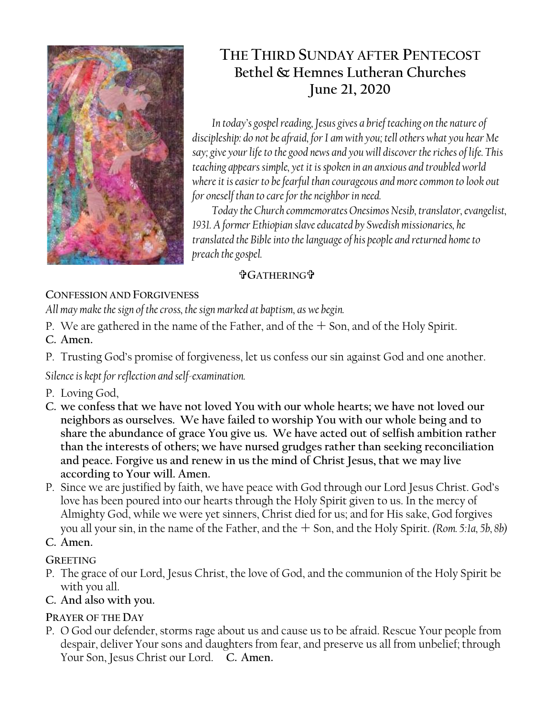

# **THE THIRD SUNDAY AFTER PENTECOST Bethel & Hemnes Lutheran Churches June 21, 2020**

*In today's gospel reading, Jesus gives a brief teaching on the nature of discipleship: do not be afraid, for I am with you; tell others what you hear Me say; give your life to the good news and you will discover the riches of life. This teaching appears simple, yet it is spoken in an anxious and troubled world where it is easier to be fearful than courageous and more common to look out for oneself than to care for the neighbor in need.* 

*Today the Church commemorates Onesimos Nesib, translator, evangelist, 1931. A former Ethiopian slave educated by Swedish missionaries, he translated the Bible into the language of his people and returned home to preach the gospel.*

### **GATHERING**

# **CONFESSION AND FORGIVENESS**

*All may make the sign of the cross, the sign marked at baptism, as we begin.*

- P. We are gathered in the name of the Father, and of the  $+$  Son, and of the Holy Spirit. **C. Amen.**
- P. Trusting God's promise of forgiveness, let us confess our sin against God and one another.

*Silence is kept for reflection and self-examination.*

- P. Loving God,
- **C. we confess that we have not loved You with our whole hearts; we have not loved our neighbors as ourselves. We have failed to worship You with our whole being and to share the abundance of grace You give us. We have acted out of selfish ambition rather than the interests of others; we have nursed grudges rather than seeking reconciliation and peace. Forgive us and renew in us the mind of Christ Jesus, that we may live according to Your will. Amen.**
- P. Since we are justified by faith, we have peace with God through our Lord Jesus Christ. God's love has been poured into our hearts through the Holy Spirit given to us. In the mercy of Almighty God, while we were yet sinners, Christ died for us; and for His sake, God forgives you all your sin, in the name of the Father, and the Son, and the Holy Spirit. *(Rom. 5:1a, 5b, 8b)*

# **C. Amen.**

### **GREETING**

- P. The grace of our Lord, Jesus Christ, the love of God, and the communion of the Holy Spirit be with you all.
- **C. And also with you.**

# **PRAYER OF THE DAY**

P. O God our defender, storms rage about us and cause us to be afraid. Rescue Your people from despair, deliver Your sons and daughters from fear, and preserve us all from unbelief; through Your Son, Jesus Christ our Lord. **C. Amen.**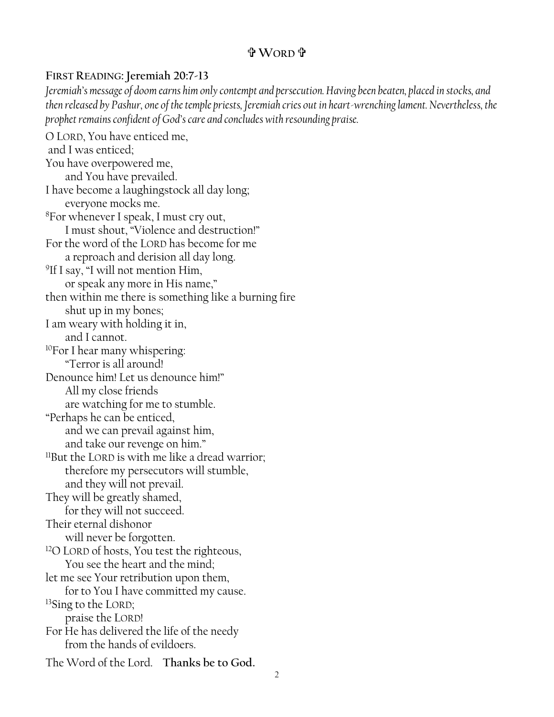### **WORD**

#### **FIRST READING: Jeremiah 20:7-13**

*Jeremiah's message of doom earns him only contempt and persecution. Having been beaten, placed in stocks, and then released by Pashur, one of the temple priests, Jeremiah cries out in heart-wrenching lament. Nevertheless, the prophet remains confident of God's care and concludes with resounding praise.*

O LORD, You have enticed me, and I was enticed; You have overpowered me, and You have prevailed. I have become a laughingstock all day long; everyone mocks me. <sup>8</sup>For whenever I speak, I must cry out, I must shout, "Violence and destruction!" For the word of the LORD has become for me a reproach and derision all day long. <sup>9</sup>If I say, "I will not mention Him, or speak any more in His name," then within me there is something like a burning fire shut up in my bones; I am weary with holding it in, and I cannot. <sup>10</sup>For I hear many whispering: "Terror is all around! Denounce him! Let us denounce him!" All my close friends are watching for me to stumble. "Perhaps he can be enticed, and we can prevail against him, and take our revenge on him." <sup>11</sup>But the LORD is with me like a dread warrior; therefore my persecutors will stumble, and they will not prevail. They will be greatly shamed, for they will not succeed. Their eternal dishonor will never be forgotten. <sup>12</sup>O LORD of hosts, You test the righteous, You see the heart and the mind; let me see Your retribution upon them, for to You I have committed my cause. <sup>13</sup>Sing to the LORD; praise the LORD! For He has delivered the life of the needy from the hands of evildoers. The Word of the Lord. **Thanks be to God.**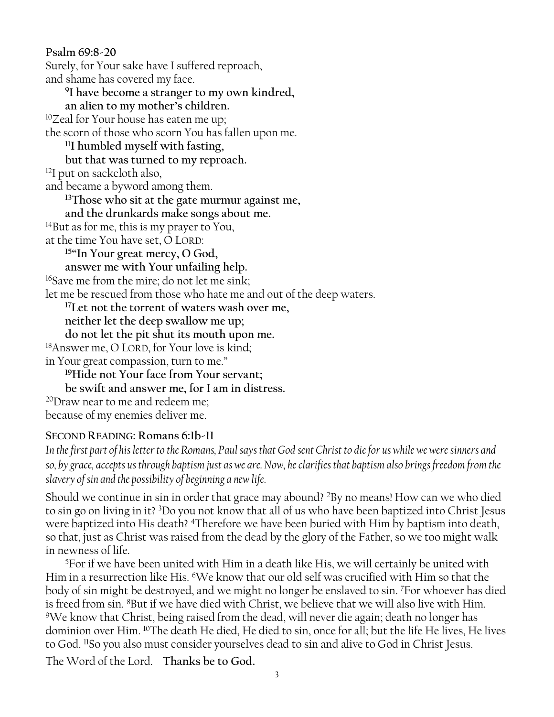**Psalm 69:8-20**  Surely, for Your sake have I suffered reproach, and shame has covered my face. **9 I have become a stranger to my own kindred, an alien to my mother's children.** <sup>10</sup>Zeal for Your house has eaten me up; the scorn of those who scorn You has fallen upon me. **<sup>11</sup>I humbled myself with fasting, but that was turned to my reproach.**  <sup>12</sup>I put on sackcloth also, and became a byword among them. **<sup>13</sup>Those who sit at the gate murmur against me, and the drunkards make songs about me.** <sup>14</sup>But as for me, this is my prayer to You, at the time You have set, O LORD: **<sup>15</sup>"In Your great mercy, O God, answer me with Your unfailing help.**  <sup>16</sup>Save me from the mire; do not let me sink; let me be rescued from those who hate me and out of the deep waters. **<sup>17</sup>Let not the torrent of waters wash over me, neither let the deep swallow me up; do not let the pit shut its mouth upon me.** <sup>18</sup>Answer me, O LORD, for Your love is kind; in Your great compassion, turn to me." **<sup>19</sup>Hide not Your face from Your servant; be swift and answer me, for I am in distress.** <sup>20</sup>Draw near to me and redeem me; because of my enemies deliver me.

#### **SECOND READING: Romans 6:1b-11**

*In the first part of his letter to the Romans, Paul says that God sent Christ to die for us while we were sinners and so, by grace, accepts us through baptism just as we are. Now, he clarifies that baptism also brings freedom from the slavery of sin and the possibility of beginning a new life.*

Should we continue in sin in order that grace may abound? <sup>2</sup>By no means! How can we who died to sin go on living in it? <sup>3</sup>Do you not know that all of us who have been baptized into Christ Jesus were baptized into His death? <sup>4</sup>Therefore we have been buried with Him by baptism into death, so that, just as Christ was raised from the dead by the glory of the Father, so we too might walk in newness of life.

<sup>5</sup>For if we have been united with Him in a death like His, we will certainly be united with Him in a resurrection like His. <sup>6</sup>We know that our old self was crucified with Him so that the body of sin might be destroyed, and we might no longer be enslaved to sin. <sup>7</sup>For whoever has died is freed from sin. <sup>8</sup>But if we have died with Christ, we believe that we will also live with Him. <sup>9</sup>We know that Christ, being raised from the dead, will never die again; death no longer has dominion over Him. <sup>10</sup>The death He died, He died to sin, once for all; but the life He lives, He lives to God. <sup>11</sup>So you also must consider yourselves dead to sin and alive to God in Christ Jesus.

The Word of the Lord. **Thanks be to God.**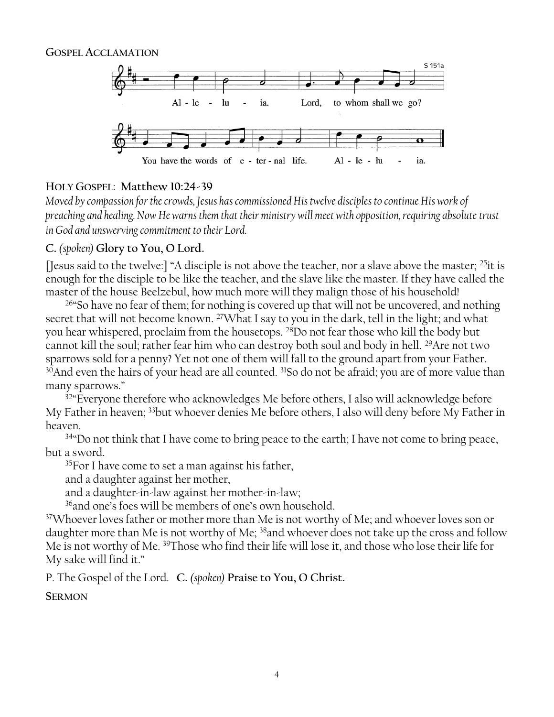

#### **HOLY GOSPEL**: **Matthew 10:24-39**

*Moved by compassion for the crowds, Jesus has commissioned His twelve disciples to continue His work of preaching and healing. Now He warns them that their ministry will meet with opposition, requiring absolute trust in God and unswerving commitment to their Lord.*

#### **C.** *(spoken)* **Glory to You, O Lord.**

[Jesus said to the twelve:] "A disciple is not above the teacher, nor a slave above the master;  $^{25}$ it is enough for the disciple to be like the teacher, and the slave like the master. If they have called the master of the house Beelzebul, how much more will they malign those of his household!

<sup>26</sup>"So have no fear of them; for nothing is covered up that will not be uncovered, and nothing secret that will not become known. <sup>27</sup>What I say to you in the dark, tell in the light; and what you hear whispered, proclaim from the housetops. <sup>28</sup>Do not fear those who kill the body but cannot kill the soul; rather fear him who can destroy both soul and body in hell. <sup>29</sup>Are not two sparrows sold for a penny? Yet not one of them will fall to the ground apart from your Father. <sup>30</sup>And even the hairs of your head are all counted. <sup>31</sup>So do not be afraid; you are of more value than many sparrows."

<sup>32</sup> Everyone therefore who acknowledges Me before others, I also will acknowledge before My Father in heaven; <sup>33</sup>but whoever denies Me before others, I also will deny before My Father in heaven.

<sup>34</sup> Do not think that I have come to bring peace to the earth; I have not come to bring peace, but a sword.

<sup>35</sup>For I have come to set a man against his father,

and a daughter against her mother,

and a daughter-in-law against her mother-in-law;

<sup>36</sup>and one's foes will be members of one's own household.

<sup>37</sup>Whoever loves father or mother more than Me is not worthy of Me; and whoever loves son or daughter more than Me is not worthy of Me; <sup>38</sup>and whoever does not take up the cross and follow Me is not worthy of Me. <sup>39</sup>Those who find their life will lose it, and those who lose their life for My sake will find it."

P. The Gospel of the Lord. **C.** *(spoken)* **Praise to You, O Christ.**

**SERMON**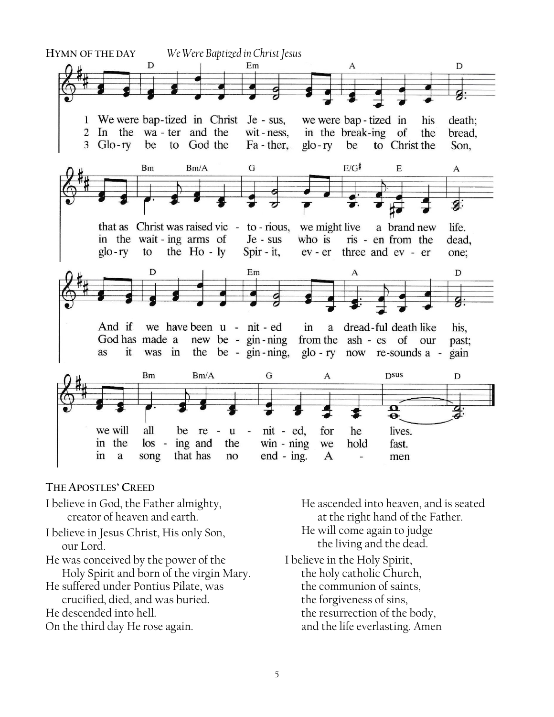

#### **THE APOSTLES' CREED**

- I believe in God, the Father almighty, creator of heaven and earth.
- I believe in Jesus Christ, His only Son, our Lord.
- He was conceived by the power of the Holy Spirit and born of the virgin Mary.
- He suffered under Pontius Pilate, was crucified, died, and was buried.
- He descended into hell.
- On the third day He rose again.

He ascended into heaven, and is seated at the right hand of the Father. He will come again to judge the living and the dead.

I believe in the Holy Spirit, the holy catholic Church,

- the communion of saints, the forgiveness of sins, the resurrection of the body,
- and the life everlasting. Amen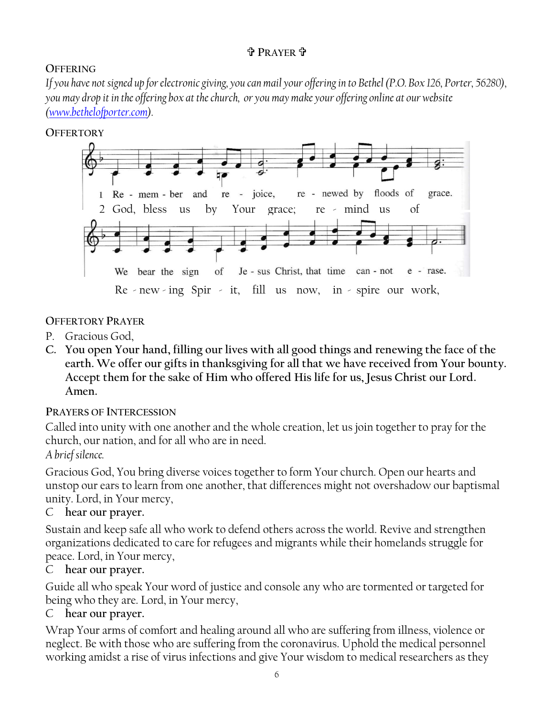### **<sup>P</sup>RAYER** .

## **OFFERING**

*If you have not signed up for electronic giving, you can mail your offering in to Bethel (P.O. Box 126, Porter, 56280), you may drop it in the offering box at the church, or you may make your offering online at our website [\(www.bethelofporter.com\)](http://www.bethelofporter.com/).* 

#### **OFFERTORY**



#### **OFFERTORY PRAYER**

- P. Gracious God,
- **C. You open Your hand, filling our lives with all good things and renewing the face of the earth. We offer our gifts in thanksgiving for all that we have received from Your bounty. Accept them for the sake of Him who offered His life for us, Jesus Christ our Lord. Amen.**

#### **PRAYERS OF INTERCESSION**

Called into unity with one another and the whole creation, let us join together to pray for the church, our nation, and for all who are in need.

### *A brief silence.*

Gracious God, You bring diverse voices together to form Your church. Open our hearts and unstop our ears to learn from one another, that differences might not overshadow our baptismal unity. Lord, in Your mercy,

### C **hear our prayer.**

Sustain and keep safe all who work to defend others across the world. Revive and strengthen organizations dedicated to care for refugees and migrants while their homelands struggle for peace. Lord, in Your mercy,

### C **hear our prayer.**

Guide all who speak Your word of justice and console any who are tormented or targeted for being who they are. Lord, in Your mercy,

### C **hear our prayer.**

Wrap Your arms of comfort and healing around all who are suffering from illness, violence or neglect. Be with those who are suffering from the coronavirus. Uphold the medical personnel working amidst a rise of virus infections and give Your wisdom to medical researchers as they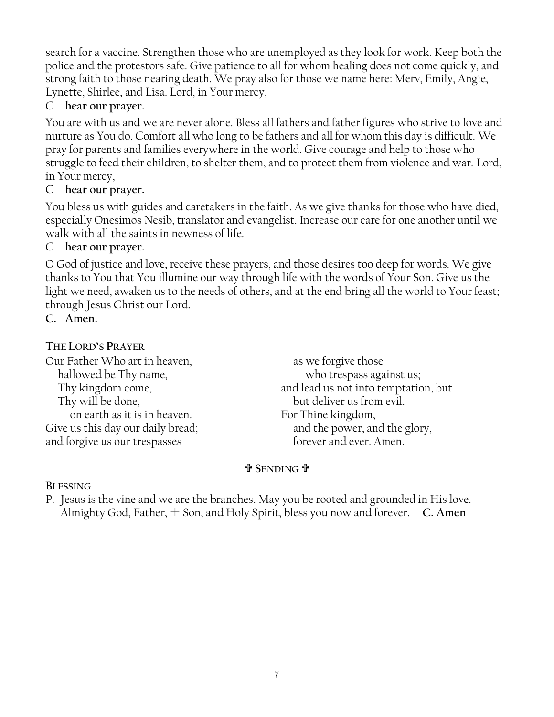search for a vaccine. Strengthen those who are unemployed as they look for work. Keep both the police and the protestors safe. Give patience to all for whom healing does not come quickly, and strong faith to those nearing death. We pray also for those we name here: Merv, Emily, Angie, Lynette, Shirlee, and Lisa. Lord, in Your mercy,

## C **hear our prayer.**

You are with us and we are never alone. Bless all fathers and father figures who strive to love and nurture as You do. Comfort all who long to be fathers and all for whom this day is difficult. We pray for parents and families everywhere in the world. Give courage and help to those who struggle to feed their children, to shelter them, and to protect them from violence and war. Lord, in Your mercy,

### C **hear our prayer.**

You bless us with guides and caretakers in the faith. As we give thanks for those who have died, especially Onesimos Nesib, translator and evangelist. Increase our care for one another until we walk with all the saints in newness of life.

#### C **hear our prayer.**

O God of justice and love, receive these prayers, and those desires too deep for words. We give thanks to You that You illumine our way through life with the words of Your Son. Give us the light we need, awaken us to the needs of others, and at the end bring all the world to Your feast; through Jesus Christ our Lord.

**C. Amen.**

#### **THE LORD'S PRAYER**

Our Father Who art in heaven, hallowed be Thy name, Thy kingdom come, Thy will be done, on earth as it is in heaven. Give us this day our daily bread; and forgive us our trespasses

as we forgive those who trespass against us; and lead us not into temptation, but but deliver us from evil. For Thine kingdom, and the power, and the glory, forever and ever. Amen.

### **SENDING**

#### **BLESSING**

P. Jesus is the vine and we are the branches. May you be rooted and grounded in His love. Almighty God, Father,  $+$  Son, and Holy Spirit, bless you now and forever. **C. Amen**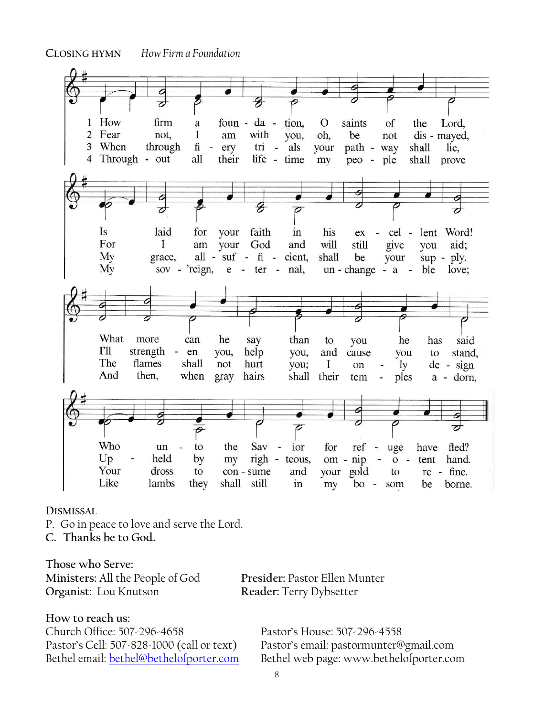**CLOSING HYMN** *How Firm a Foundation*



#### **DISMISSAL**

P. Go in peace to love and serve the Lord.

**C. Thanks be to God.**

**Those who Serve: Ministers:** All the People of God **Presider:** Pastor Ellen Munter **Organist**: Lou Knutson **Reader:** Terry Dybsetter

#### **How to reach us:**

Church Office: 507-296-4658 Pastor's House: 507-296-4558

Pastor's Cell: 507-828-1000 (call or text) Pastor's email: pastormunter@gmail.com Bethel email: [bethel@bethelofporter.com](mailto:bethel@bethelofporter.com) Bethel web page: www.bethelofporter.com